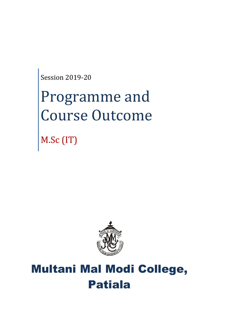Session 2019-20

# Programme and Course Outcome

M.Sc (IT)



# Multani Mal Modi College, Patiala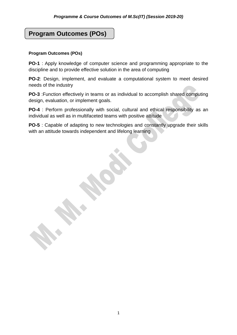## **Program Outcomes (POs)**

#### **Program Outcomes (POs)**

**PO-1** : Apply knowledge of computer science and programming appropriate to the discipline and to provide effective solution in the area of computing

**PO-2**: Design, implement, and evaluate a computational system to meet desired needs of the industry

**PO-3** :Function effectively in teams or as individual to accomplish shared computing design, evaluation, or implement goals.

**PO-4** : Perform professionally with social, cultural and ethical responsibility as an individual as well as in multifaceted teams with positive attitude

**PO-5** : Capable of adapting to new technologies and constantly upgrade their skills with an attitude towards independent and lifelong learning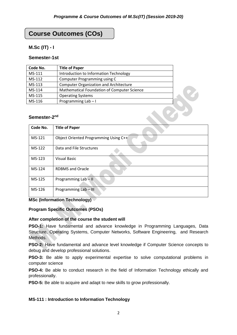## **Course Outcomes (COs)**

#### **M.Sc (IT) - I**

#### **Semester-1st**

| Code No.                 | <b>Title of Paper</b>                         |  |
|--------------------------|-----------------------------------------------|--|
| MS-111                   | Introduction to Information Technology        |  |
| MS-112                   | Computer Programming using C                  |  |
| MS-113                   | <b>Computer Organization and Architecture</b> |  |
| MS-114                   | Mathematical Foundation of Computer Science   |  |
| MS-115                   | <b>Operating Systems</b>                      |  |
| MS-116                   | Programming Lab-I                             |  |
| Semester-2 <sup>nd</sup> |                                               |  |
| Code No.                 | <b>Title of Paper</b>                         |  |

#### Semester-2<sup>nd</sup>

| Code No. | <b>Title of Paper</b>                 |
|----------|---------------------------------------|
| MS-121   | Object Oriented Programming Using C++ |
| MS-122   | Data and File Structures              |
| MS-123   | <b>Visual Basic</b>                   |
| MS-124   | <b>RDBMS</b> and Oracle               |
| MS-125   | Programming Lab - II                  |
| MS-126   | Programming Lab - III                 |

#### **MSc (Information Technology)**

#### **Program Specific Outcomes (PSOs)**

#### **After completion of the course the student will**

**PSO-1:** Have fundamental and advance knowledge in Programming Languages, Data Structure, Operating Systems, Computer Networks, Software Engineering, and Research Methods.

**PSO-2:** Have fundamental and advance level knowledge if Computer Science concepts to debug and develop professional solutions.

**PSO-3:** Be able to apply experimental expertise to solve computational problems in computer science

**PSO-4:** Be able to conduct research in the field of Information Technology ethically and professionally.

**PSO-5:** Be able to acquire and adapt to new skills to grow professionally.

#### **MS-111 : Introduction to Information Technology**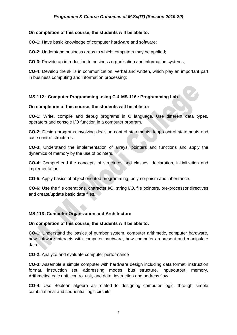#### **On completion of this course, the students will be able to:**

**CO-1:** Have basic knowledge of computer hardware and software;

**CO-2:** Understand business areas to which computers may be applied;

**CO-3:** Provide an introduction to business organisation and information systems;

**CO-4:** Develop the skills in communication, verbal and written, which play an important part in business computing and information processing;

#### **MS-112 : Computer Programming using C & MS-116 : Programming Lab-I**

#### **On completion of this course, the students will be able to:**

**CO-1:** Write, compile and debug programs in C language. Use different data types, operators and console I/O function in a computer program.

**CO-2:** Design programs involving decision control statements, loop control statements and case control structures.

**CO-3:** Understand the implementation of arrays, pointers and functions and apply the dynamics of memory by the use of pointers.

**CO-4:** Comprehend the concepts of structures and classes: declaration, initialization and implementation.

**CO-5:** Apply basics of object oriented programming, polymorphism and inheritance.

**CO-6:** Use the file operations, character I/O, string I/O, file pointers, pre-processor directives and create/update basic data files.

#### **MS-113 :Computer Organization and Architecture**

#### **On completion of this course, the students will be able to:**

**CO-1:** Understand the basics of number system, computer arithmetic, computer hardware, how software interacts with computer hardware, how computers represent and manipulate data.

**CO-2:** Analyze and evaluate computer performance

**CO-3:** Assemble a simple computer with hardware design including data format, instruction format, instruction set, addressing modes, bus structure, input/output, memory, Arithmetic/Logic unit, control unit, and data, instruction and address flow

**CO-4:** Use Boolean algebra as related to designing computer logic, through simple combinational and sequential logic circuits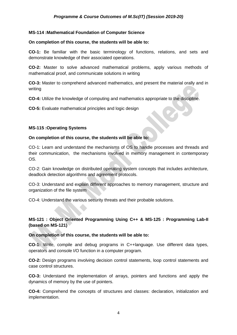#### **MS-114 :Mathematical Foundation of Computer Science**

#### **On completion of this course, the students will be able to:**

**CO-1:** Be familiar with the basic terminology of functions, relations, and sets and demonstrate knowledge of their associated operations.

**CO-2:** Master to solve advanced mathematical problems, apply various methods of mathematical proof, and communicate solutions in writing

**CO-3:** Master to comprehend advanced mathematics, and present the material orally and in writing

**CO-4:** Utilize the knowledge of computing and mathematics appropriate to the discipline.

**CO-5:** Evaluate mathematical principles and logic design

#### **MS-115 :Operating Systems**

#### **On completion of this course, the students will be able to:**

CO-1: Learn and understand the mechanisms of OS to handle processes and threads and their communication, the mechanisms involved in memory management in contemporary OS.

CO-2: Gain knowledge on distributed operating system concepts that includes architecture, deadlock detection algorithms and agreement protocols.

CO-3: Understand and explain different approaches to memory management, structure and organization of the file system

CO-4: Understand the various security threats and their probable solutions.

#### **MS-121 : Object Oriented Programming Using C++ & MS-125 : Programming Lab-II (based on MS-121)**

#### **On completion of this course, the students will be able to:**

**CO-1:** Write, compile and debug programs in C++language. Use different data types, operators and console I/O function in a computer program.

**CO-2:** Design programs involving decision control statements, loop control statements and case control structures.

**CO-3:** Understand the implementation of arrays, pointers and functions and apply the dynamics of memory by the use of pointers.

**CO-4:** Comprehend the concepts of structures and classes: declaration, initialization and implementation.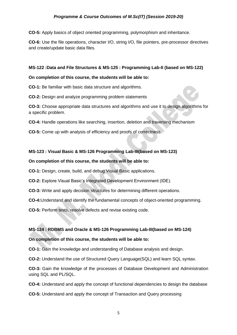**CO-5:** Apply basics of object oriented programming, polymorphism and inheritance.

**CO-6:** Use the file operations, character I/O, string I/O, file pointers, pre-processor directives and create/update basic data files.

#### **MS-122 :Data and File Structures & MS-125 : Programming Lab-II (based on MS-122)**

#### **On completion of this course, the students will be able to:**

**CO-1:** Be familiar with basic data structure and algorithms.

**CO-2:** Design and analyze programming problem statements

**CO-3:** Choose appropriate data structures and algorithms and use it to design algorithms for a specific problem.

**CO-4:** Handle operations like searching, insertion, deletion and traversing mechanism

**CO-5:** Come up with analysis of efficiency and proofs of correctness

#### **MS-123 : Visual Basic & MS-126 Programming Lab-III(based on MS-123)**

#### **On completion of this course, the students will be able to:**

**CO-1:** Design, create, build, and debug Visual Basic applications.

**CO-2:** Explore Visual Basic's Integrated Development Environment (IDE).

**CO-3:** Write and apply decision structures for determining different operations.

**CO-4:**Understand and identify the fundamental concepts of object-oriented programming.

**CO-5:** Perform tests, resolve defects and revise existing code.

#### **MS-124 : RDBMS and Oracle & MS-126 Programming Lab-III(based on MS-124)**

#### **On completion of this course, the students will be able to:**

**CO-1:** Gain the knowledge and understanding of Database analysis and design.

**CO-2:** Understand the use of Structured Query Language(SQL) and learn SQL syntax.

**CO-3:** Gain the knowledge of the processes of Database Development and Administration using SQL and PL/SQL.

**CO-4:** Understand and apply the concept of functional dependencies to design the database

**CO-5:** Understand and apply the concept of Transaction and Query processing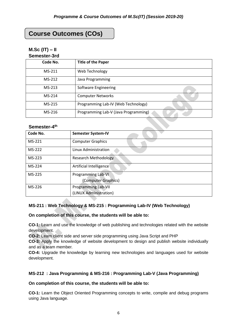# **Course Outcomes (COs)**

#### **M.Sc (IT) – II Semester-3rd**

| <u>JEIIIESIEI -JI U</u> |                                      |
|-------------------------|--------------------------------------|
| Code No.                | <b>Title of the Paper</b>            |
| MS-211                  | Web Technology                       |
| MS-212                  | Java Programming                     |
| MS-213                  | Software Engineering                 |
| MS-214                  | <b>Computer Networks</b>             |
| MS-215                  | Programming Lab-IV (Web Technology)  |
| MS-216                  | Programming Lab-V (Java Programming) |

#### **Semester-4 th**

| Code No. | <b>Semester System-IV</b>   |
|----------|-----------------------------|
| MS-221   | <b>Computer Graphics</b>    |
| MS-222   | Linux Administration        |
| MS-223   | <b>Research Methodology</b> |
| MS-224   | Artificial Intelligence     |
| MS-225   | Programming Lab-VI          |
|          | (Computer Graphics)         |
| MS-226   | <b>Programming Lab-VII</b>  |
|          | (LINUX Administration)      |

#### **MS-211 : Web Technology & MS-215 : Programming Lab-IV (Web Technology)**

**On completion of this course, the students will be able to:**

**CO-1:** Learn and use the knowledge of web publishing and technologies related with the website development.

**CO-2:** Learn client side and server side programming using Java Script and PHP

**CO-3:** Apply the knowledge of website development to design and publish website individually and as a team member.

**CO-4:** Upgrade the knowledge by learning new technologies and languages used for website development.

#### **MS-212 : Java Programming & MS-216 : Programming Lab-V (Java Programming)**

#### **On completion of this course, the students will be able to:**

**CO-1:** Learn the Object Oriented Programming concepts to write, compile and debug programs using Java language.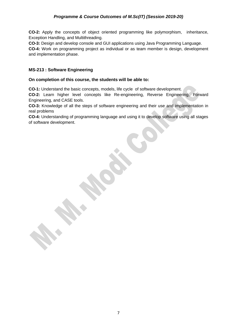**CO-2:** Apply the concepts of object oriented programming like polymorphism, inheritance, Exception Handling, and Multithreading.

**CO-3:** Design and develop console and GUI applications using Java Programming Language.

**CO-4:** Work on programming project as individual or as team member is design, development and implementation phase.

#### **MS-213 : Software Engineering**

#### **On completion of this course, the students will be able to:**

**CO-1:** Understand the basic concepts, models, life cycle of software development.

**CO-2:** Learn higher level concepts like Re-engineering, Reverse Engineering, Forward Engineering, and CASE tools.

**CO-3:** Knowledge of all the steps of software engineering and their use and implementation in real problems

**CO-4:** Understanding of programming language and using it to develop software using all stages of software development.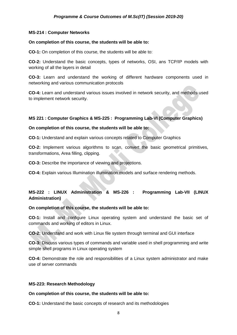#### **MS-214 : Computer Networks**

#### **On completion of this course, the students will be able to:**

**CO-1:** On completion of this course, the students will be able to:

**CO-2:** Understand the basic concepts, types of networks, OSI, ans TCP/IP models with working of all the layers in detail

**CO-3:** Learn and understand the working of different hardware components used in networking and various communication protocols

**CO-4:** Learn and understand various issues involved in network security, and methods used to implement network security.

#### **MS 221 : Computer Graphics & MS-225 : Programming Lab-VI (Computer Graphics)**

#### **On completion of this course, the students will be able to:**

**CO-1:** Understand and explain various concepts related to Computer Graphics

**CO-2:** Implement various algorithms to scan, convert the basic geometrical primitives, transformations, Area filling, clipping.

**CO-3:** Describe the importance of viewing and projections.

**CO-4:** Explain various Illumination illumination models and surface rendering methods.

#### **MS-222 : LINUX Administration & MS-226 : Programming Lab-VII (LINUX Administration)**

#### **On completion of this course, the students will be able to:**

**CO-1:** Install and configure Linux operating system and understand the basic set of commands and working of editors in Linux.

**CO-2:** Understand and work with Linux file system through terminal and GUI interface

**CO-3:** Discuss various types of commands and variable used in shell programming and write simple shell programs in Linux operating system

**CO-4:** Demonstrate the role and responsibilities of a Linux system administrator and make use of server commands

#### **MS-223: Research Methodology**

#### **On completion of this course, the students will be able to:**

**CO-1:** Understand the basic concepts of research and its methodologies